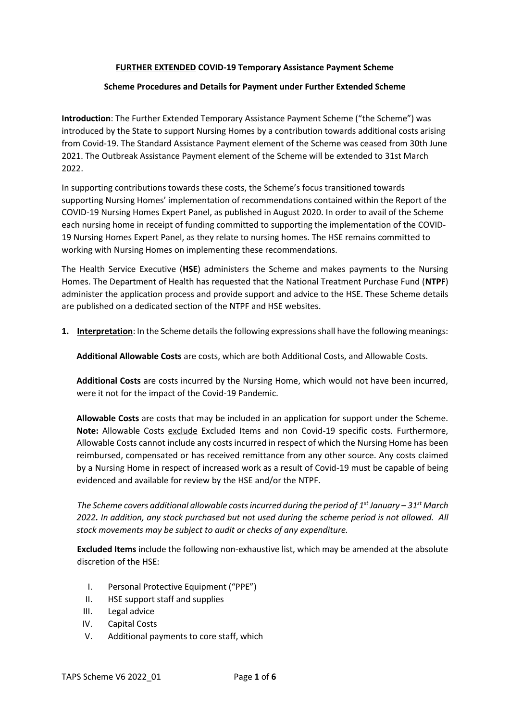#### **FURTHER EXTENDED COVID-19 Temporary Assistance Payment Scheme**

#### **Scheme Procedures and Details for Payment under Further Extended Scheme**

**Introduction**: The Further Extended Temporary Assistance Payment Scheme ("the Scheme") was introduced by the State to support Nursing Homes by a contribution towards additional costs arising from Covid-19. The Standard Assistance Payment element of the Scheme was ceased from 30th June 2021. The Outbreak Assistance Payment element of the Scheme will be extended to 31st March 2022.

In supporting contributions towards these costs, the Scheme's focus transitioned towards supporting Nursing Homes' implementation of recommendations contained within the Report of the COVID-19 Nursing Homes Expert Panel, as published in August 2020. In order to avail of the Scheme each nursing home in receipt of funding committed to supporting the implementation of the COVID-19 Nursing Homes Expert Panel, as they relate to nursing homes. The HSE remains committed to working with Nursing Homes on implementing these recommendations.

The Health Service Executive (**HSE**) administers the Scheme and makes payments to the Nursing Homes. The Department of Health has requested that the National Treatment Purchase Fund (**NTPF**) administer the application process and provide support and advice to the HSE. These Scheme details are published on a dedicated section of the NTPF and HSE websites.

**1. Interpretation**: In the Scheme details the following expressions shall have the following meanings:

**Additional Allowable Costs** are costs, which are both Additional Costs, and Allowable Costs.

**Additional Costs** are costs incurred by the Nursing Home, which would not have been incurred, were it not for the impact of the Covid-19 Pandemic.

**Allowable Costs** are costs that may be included in an application for support under the Scheme. **Note:** Allowable Costs exclude Excluded Items and non Covid-19 specific costs. Furthermore, Allowable Costs cannot include any costs incurred in respect of which the Nursing Home has been reimbursed, compensated or has received remittance from any other source. Any costs claimed by a Nursing Home in respect of increased work as a result of Covid-19 must be capable of being evidenced and available for review by the HSE and/or the NTPF.

*The Scheme covers additional allowable costs incurred during the period of 1 st January – 31st March 2022. In addition, any stock purchased but not used during the scheme period is not allowed. All stock movements may be subject to audit or checks of any expenditure.*

**Excluded Items** include the following non-exhaustive list, which may be amended at the absolute discretion of the HSE:

- I. Personal Protective Equipment ("PPE")
- II. HSE support staff and supplies
- III. Legal advice
- IV. Capital Costs
- V. Additional payments to core staff, which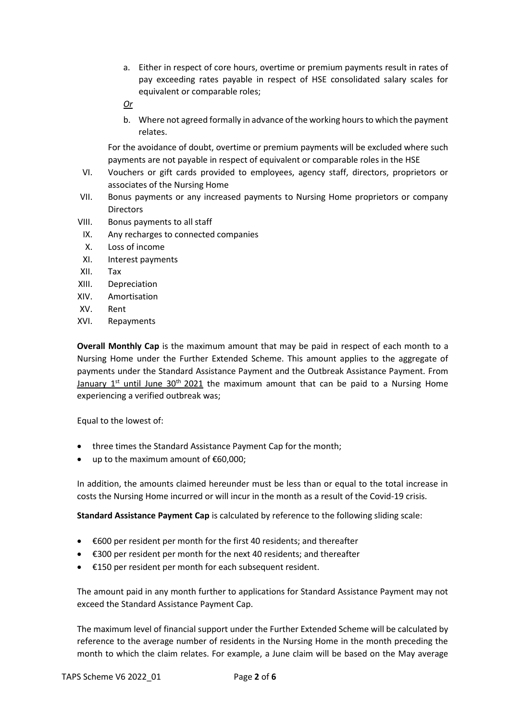- a. Either in respect of core hours, overtime or premium payments result in rates of pay exceeding rates payable in respect of HSE consolidated salary scales for equivalent or comparable roles;
- *Or*
- b. Where not agreed formally in advance of the working hours to which the payment relates.

For the avoidance of doubt, overtime or premium payments will be excluded where such payments are not payable in respect of equivalent or comparable roles in the HSE

- VI. Vouchers or gift cards provided to employees, agency staff, directors, proprietors or associates of the Nursing Home
- VII. Bonus payments or any increased payments to Nursing Home proprietors or company **Directors**
- VIII. Bonus payments to all staff
- IX. Any recharges to connected companies
- X. Loss of income
- XI. Interest payments
- XII. Tax
- XIII. Depreciation
- XIV. Amortisation
- XV. Rent
- XVI. Repayments

**Overall Monthly Cap** is the maximum amount that may be paid in respect of each month to a Nursing Home under the Further Extended Scheme. This amount applies to the aggregate of payments under the Standard Assistance Payment and the Outbreak Assistance Payment. From January  $1^{st}$  until June 30<sup>th</sup> 2021 the maximum amount that can be paid to a Nursing Home experiencing a verified outbreak was;

Equal to the lowest of:

- three times the Standard Assistance Payment Cap for the month;
- up to the maximum amount of €60,000;

In addition, the amounts claimed hereunder must be less than or equal to the total increase in costs the Nursing Home incurred or will incur in the month as a result of the Covid-19 crisis.

**Standard Assistance Payment Cap** is calculated by reference to the following sliding scale:

- €600 per resident per month for the first 40 residents; and thereafter
- €300 per resident per month for the next 40 residents; and thereafter
- €150 per resident per month for each subsequent resident.

The amount paid in any month further to applications for Standard Assistance Payment may not exceed the Standard Assistance Payment Cap.

The maximum level of financial support under the Further Extended Scheme will be calculated by reference to the average number of residents in the Nursing Home in the month preceding the month to which the claim relates. For example, a June claim will be based on the May average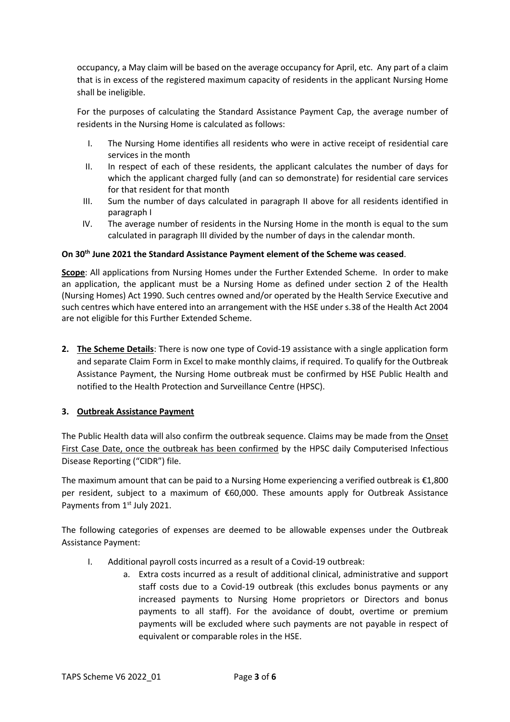occupancy, a May claim will be based on the average occupancy for April, etc. Any part of a claim that is in excess of the registered maximum capacity of residents in the applicant Nursing Home shall be ineligible.

For the purposes of calculating the Standard Assistance Payment Cap, the average number of residents in the Nursing Home is calculated as follows:

- I. The Nursing Home identifies all residents who were in active receipt of residential care services in the month
- II. In respect of each of these residents, the applicant calculates the number of days for which the applicant charged fully (and can so demonstrate) for residential care services for that resident for that month
- III. Sum the number of days calculated in paragraph II above for all residents identified in paragraph I
- IV. The average number of residents in the Nursing Home in the month is equal to the sum calculated in paragraph III divided by the number of days in the calendar month.

### **On 30th June 2021 the Standard Assistance Payment element of the Scheme was ceased**.

**Scope**: All applications from Nursing Homes under the Further Extended Scheme. In order to make an application, the applicant must be a Nursing Home as defined under section 2 of the Health (Nursing Homes) Act 1990. Such centres owned and/or operated by the Health Service Executive and such centres which have entered into an arrangement with the HSE under s.38 of the Health Act 2004 are not eligible for this Further Extended Scheme.

**2. The Scheme Details**: There is now one type of Covid-19 assistance with a single application form and separate Claim Form in Excel to make monthly claims, if required. To qualify for the Outbreak Assistance Payment, the Nursing Home outbreak must be confirmed by HSE Public Health and notified to the Health Protection and Surveillance Centre (HPSC).

# **3. Outbreak Assistance Payment**

The Public Health data will also confirm the outbreak sequence. Claims may be made from the Onset First Case Date, once the outbreak has been confirmed by the HPSC daily Computerised Infectious Disease Reporting ("CIDR") file.

The maximum amount that can be paid to a Nursing Home experiencing a verified outbreak is €1,800 per resident, subject to a maximum of €60,000. These amounts apply for Outbreak Assistance Payments from 1<sup>st</sup> July 2021.

The following categories of expenses are deemed to be allowable expenses under the Outbreak Assistance Payment:

- I. Additional payroll costs incurred as a result of a Covid-19 outbreak:
	- a. Extra costs incurred as a result of additional clinical, administrative and support staff costs due to a Covid-19 outbreak (this excludes bonus payments or any increased payments to Nursing Home proprietors or Directors and bonus payments to all staff). For the avoidance of doubt, overtime or premium payments will be excluded where such payments are not payable in respect of equivalent or comparable roles in the HSE.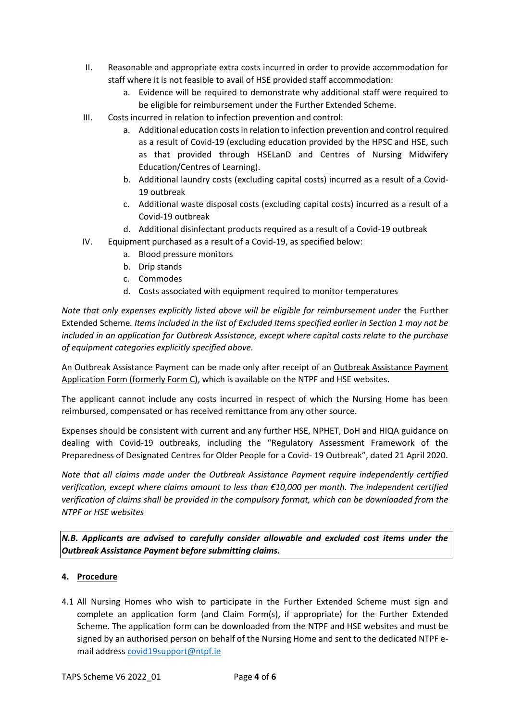- II. Reasonable and appropriate extra costs incurred in order to provide accommodation for staff where it is not feasible to avail of HSE provided staff accommodation:
	- a. Evidence will be required to demonstrate why additional staff were required to be eligible for reimbursement under the Further Extended Scheme.
- III. Costs incurred in relation to infection prevention and control:
	- a. Additional education costs in relation to infection prevention and control required as a result of Covid-19 (excluding education provided by the HPSC and HSE, such as that provided through HSELanD and Centres of Nursing Midwifery Education/Centres of Learning).
	- b. Additional laundry costs (excluding capital costs) incurred as a result of a Covid-19 outbreak
	- c. Additional waste disposal costs (excluding capital costs) incurred as a result of a Covid-19 outbreak
	- d. Additional disinfectant products required as a result of a Covid-19 outbreak
- IV. Equipment purchased as a result of a Covid-19, as specified below:
	- a. Blood pressure monitors
	- b. Drip stands
	- c. Commodes
	- d. Costs associated with equipment required to monitor temperatures

*Note that only expenses explicitly listed above will be eligible for reimbursement under the Further* Extended Scheme*. Items included in the list of Excluded Items specified earlier in Section 1 may not be included in an application for Outbreak Assistance, except where capital costs relate to the purchase of equipment categories explicitly specified above.*

An Outbreak Assistance Payment can be made only after receipt of an Outbreak Assistance Payment Application Form (formerly Form C), which is available on the NTPF and HSE websites.

The applicant cannot include any costs incurred in respect of which the Nursing Home has been reimbursed, compensated or has received remittance from any other source.

Expenses should be consistent with current and any further HSE, NPHET, DoH and HIQA guidance on dealing with Covid-19 outbreaks, including the "Regulatory Assessment Framework of the Preparedness of Designated Centres for Older People for a Covid- 19 Outbreak", dated 21 April 2020.

*Note that all claims made under the Outbreak Assistance Payment require independently certified verification, except where claims amount to less than €10,000 per month. The independent certified verification of claims shall be provided in the compulsory format, which can be downloaded from the NTPF or HSE websites* 

*N.B. Applicants are advised to carefully consider allowable and excluded cost items under the Outbreak Assistance Payment before submitting claims.* 

# **4. Procedure**

4.1 All Nursing Homes who wish to participate in the Further Extended Scheme must sign and complete an application form (and Claim Form(s), if appropriate) for the Further Extended Scheme. The application form can be downloaded from the NTPF and HSE websites and must be signed by an authorised person on behalf of the Nursing Home and sent to the dedicated NTPF email address [covid19support@ntpf.ie](mailto:covid19support@ntpf.ie)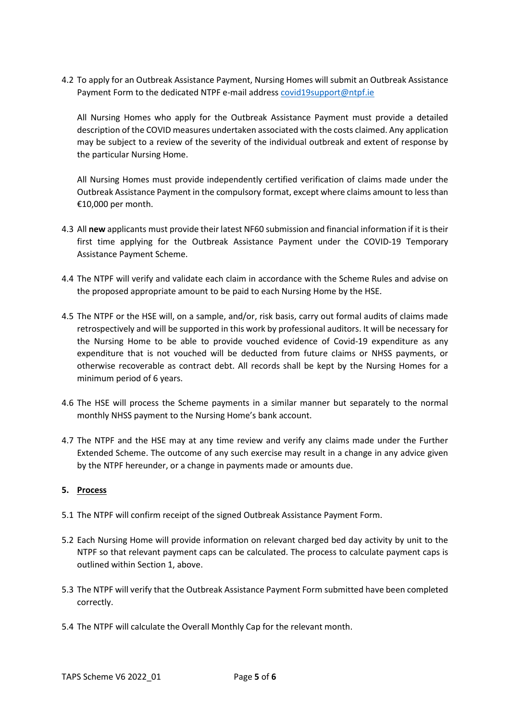4.2 To apply for an Outbreak Assistance Payment, Nursing Homes will submit an Outbreak Assistance Payment Form to the dedicated NTPF e-mail address [covid19support@ntpf.ie](mailto:covid19support@ntpf.ie)

All Nursing Homes who apply for the Outbreak Assistance Payment must provide a detailed description of the COVID measures undertaken associated with the costs claimed. Any application may be subject to a review of the severity of the individual outbreak and extent of response by the particular Nursing Home.

All Nursing Homes must provide independently certified verification of claims made under the Outbreak Assistance Payment in the compulsory format, except where claims amount to less than €10,000 per month.

- 4.3 All **new** applicants must provide their latest NF60 submission and financial information if it is their first time applying for the Outbreak Assistance Payment under the COVID-19 Temporary Assistance Payment Scheme.
- 4.4 The NTPF will verify and validate each claim in accordance with the Scheme Rules and advise on the proposed appropriate amount to be paid to each Nursing Home by the HSE.
- 4.5 The NTPF or the HSE will, on a sample, and/or, risk basis, carry out formal audits of claims made retrospectively and will be supported in this work by professional auditors. It will be necessary for the Nursing Home to be able to provide vouched evidence of Covid-19 expenditure as any expenditure that is not vouched will be deducted from future claims or NHSS payments, or otherwise recoverable as contract debt. All records shall be kept by the Nursing Homes for a minimum period of 6 years.
- 4.6 The HSE will process the Scheme payments in a similar manner but separately to the normal monthly NHSS payment to the Nursing Home's bank account.
- 4.7 The NTPF and the HSE may at any time review and verify any claims made under the Further Extended Scheme. The outcome of any such exercise may result in a change in any advice given by the NTPF hereunder, or a change in payments made or amounts due.

# **5. Process**

- 5.1 The NTPF will confirm receipt of the signed Outbreak Assistance Payment Form.
- 5.2 Each Nursing Home will provide information on relevant charged bed day activity by unit to the NTPF so that relevant payment caps can be calculated. The process to calculate payment caps is outlined within Section 1, above.
- 5.3 The NTPF will verify that the Outbreak Assistance Payment Form submitted have been completed correctly.
- 5.4 The NTPF will calculate the Overall Monthly Cap for the relevant month.